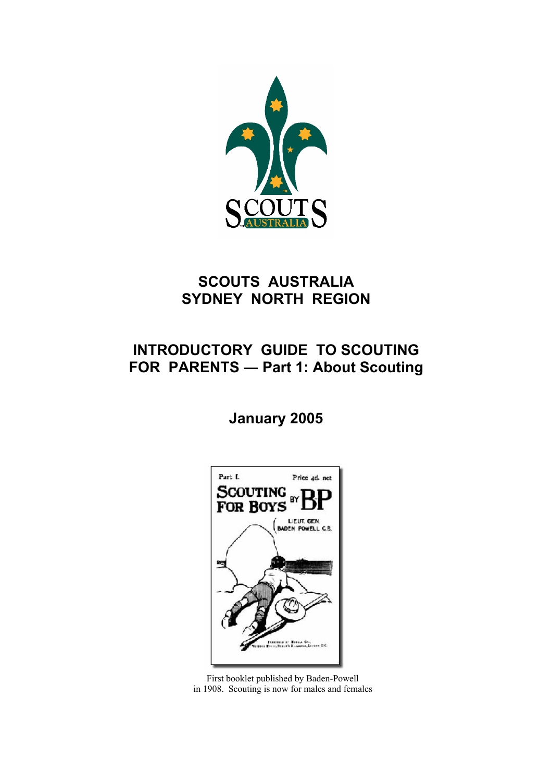

# **SCOUTS AUSTRALIA SYDNEY NORTH REGION**

# **INTRODUCTORY GUIDE TO SCOUTING FOR PARENTS ― Part 1: About Scouting**

# **January 2005**



First booklet published by Baden-Powell in 1908. Scouting is now for males and females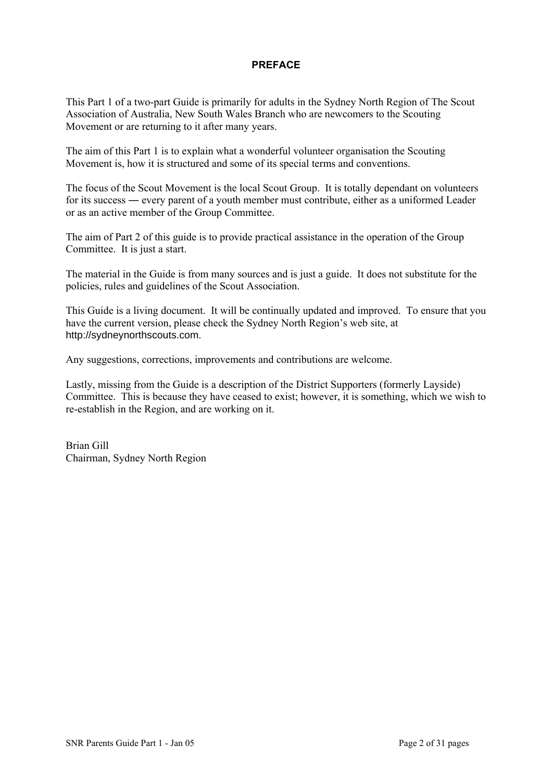### **PREFACE**

This Part 1 of a two-part Guide is primarily for adults in the Sydney North Region of The Scout Association of Australia, New South Wales Branch who are newcomers to the Scouting Movement or are returning to it after many years.

The aim of this Part 1 is to explain what a wonderful volunteer organisation the Scouting Movement is, how it is structured and some of its special terms and conventions.

The focus of the Scout Movement is the local Scout Group. It is totally dependant on volunteers for its success ― every parent of a youth member must contribute, either as a uniformed Leader or as an active member of the Group Committee.

The aim of Part 2 of this guide is to provide practical assistance in the operation of the Group Committee. It is just a start.

The material in the Guide is from many sources and is just a guide. It does not substitute for the policies, rules and guidelines of the Scout Association.

This Guide is a living document. It will be continually updated and improved. To ensure that you have the current version, please check the Sydney North Region's web site, at http://sydneynorthscouts.com.

Any suggestions, corrections, improvements and contributions are welcome.

Lastly, missing from the Guide is a description of the District Supporters (formerly Layside) Committee. This is because they have ceased to exist; however, it is something, which we wish to re-establish in the Region, and are working on it.

Brian Gill Chairman, Sydney North Region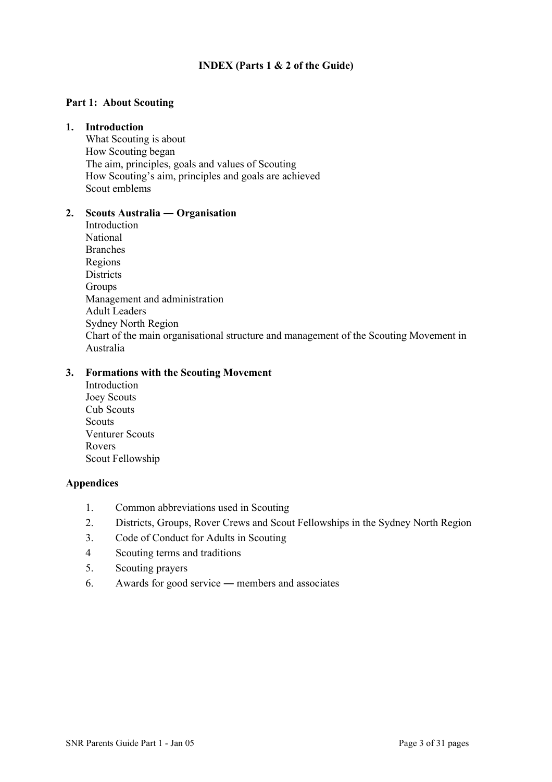### **INDEX (Parts 1 & 2 of the Guide)**

### **Part 1: About Scouting**

#### **1. Introduction**

What Scouting is about How Scouting began The aim, principles, goals and values of Scouting How Scouting's aim, principles and goals are achieved Scout emblems

#### **2. Scouts Australia ― Organisation**

Introduction National Branches Regions **Districts** Groups Management and administration Adult Leaders Sydney North Region Chart of the main organisational structure and management of the Scouting Movement in Australia

### **3. Formations with the Scouting Movement**

Introduction Joey Scouts Cub Scouts **Scouts** Venturer Scouts Rovers Scout Fellowship

#### **Appendices**

- 1. Common abbreviations used in Scouting
- 2. Districts, Groups, Rover Crews and Scout Fellowships in the Sydney North Region
- 3. Code of Conduct for Adults in Scouting
- 4 Scouting terms and traditions
- 5. Scouting prayers
- 6. Awards for good service ― members and associates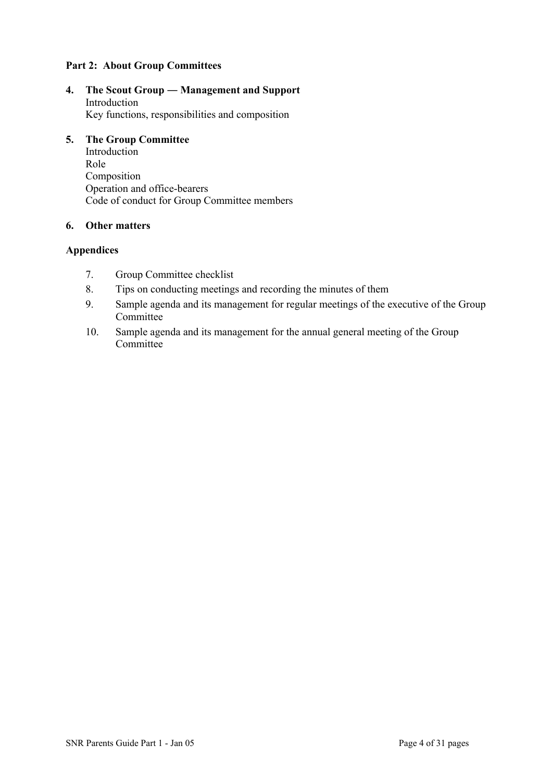### **Part 2: About Group Committees**

**4. The Scout Group ― Management and Support**  Introduction Key functions, responsibilities and composition

#### **5. The Group Committee**

Introduction Role Composition Operation and office-bearers Code of conduct for Group Committee members

### **6. Other matters**

### **Appendices**

- 7. Group Committee checklist
- 8. Tips on conducting meetings and recording the minutes of them
- 9. Sample agenda and its management for regular meetings of the executive of the Group **Committee**
- 10. Sample agenda and its management for the annual general meeting of the Group **Committee**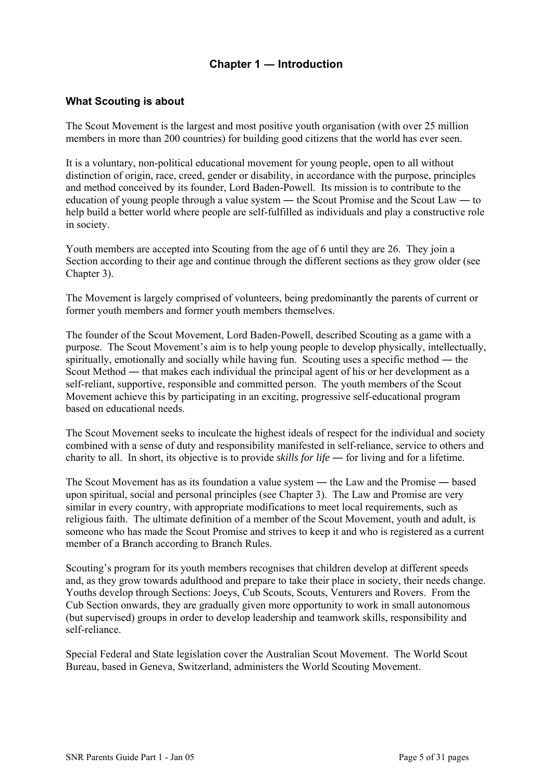# **Chapter 1 ― Introduction**

### **What Scouting is about**

The Scout Movement is the largest and most positive youth organisation (with over 25 million members in more than 200 countries) for building good citizens that the world has ever seen.

It is a voluntary, non-political educational movement for young people, open to all without distinction of origin, race, creed, gender or disability, in accordance with the purpose, principles and method conceived by its founder, Lord Baden-Powell. Its mission is to contribute to the education of young people through a value system ― the Scout Promise and the Scout Law ― to help build a better world where people are self-fulfilled as individuals and play a constructive role in society.

Youth members are accepted into Scouting from the age of 6 until they are 26. They join a Section according to their age and continue through the different sections as they grow older (see Chapter 3).

The Movement is largely comprised of volunteers, being predominantly the parents of current or former youth members and former youth members themselves.

The founder of the Scout Movement, Lord Baden-Powell, described Scouting as a game with a purpose. The Scout Movement's aim is to help young people to develop physically, intellectually, spiritually, emotionally and socially while having fun. Scouting uses a specific method ― the Scout Method — that makes each individual the principal agent of his or her development as a self-reliant, supportive, responsible and committed person. The youth members of the Scout Movement achieve this by participating in an exciting, progressive self-educational program based on educational needs.

The Scout Movement seeks to inculcate the highest ideals of respect for the individual and society combined with a sense of duty and responsibility manifested in self-reliance, service to others and charity to all. In short, its objective is to provide *skills for life* ― for living and for a lifetime.

The Scout Movement has as its foundation a value system ― the Law and the Promise ― based upon spiritual, social and personal principles (see Chapter 3). The Law and Promise are very similar in every country, with appropriate modifications to meet local requirements, such as religious faith. The ultimate definition of a member of the Scout Movement, youth and adult, is someone who has made the Scout Promise and strives to keep it and who is registered as a current member of a Branch according to Branch Rules.

Scouting's program for its youth members recognises that children develop at different speeds and, as they grow towards adulthood and prepare to take their place in society, their needs change. Youths develop through Sections: Joeys, Cub Scouts, Scouts, Venturers and Rovers. From the Cub Section onwards, they are gradually given more opportunity to work in small autonomous (but supervised) groups in order to develop leadership and teamwork skills, responsibility and self-reliance.

Special Federal and State legislation cover the Australian Scout Movement. The World Scout Bureau, based in Geneva, Switzerland, administers the World Scouting Movement.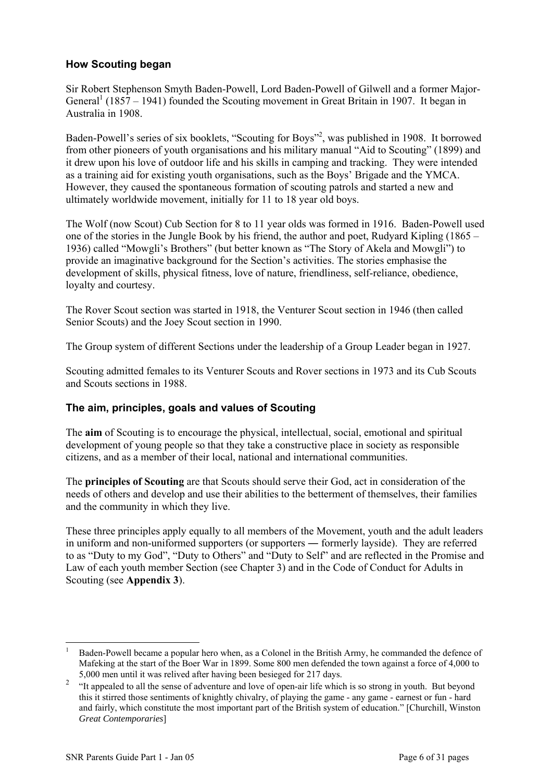## **How Scouting began**

Sir Robert Stephenson Smyth Baden-Powell, Lord Baden-Powell of Gilwell and a former Major-General<sup>1</sup> (1857 – 1941) founded the Scouting movement in Great Britain in 1907. It began in Australia in 1908.

Baden-Powell's series of six booklets, "Scouting for Boys"<sup>2</sup>, was published in 1908. It borrowed from other pioneers of youth organisations and his military manual "Aid to Scouting" (1899) and it drew upon his love of outdoor life and his skills in camping and tracking. They were intended as a training aid for existing youth organisations, such as the Boys' Brigade and the YMCA. However, they caused the spontaneous formation of scouting patrols and started a new and ultimately worldwide movement, initially for 11 to 18 year old boys.

The Wolf (now Scout) Cub Section for 8 to 11 year olds was formed in 1916. Baden-Powell used one of the stories in the Jungle Book by his friend, the author and poet, Rudyard Kipling (1865 – 1936) called "Mowgli's Brothers" (but better known as "The Story of Akela and Mowgli") to provide an imaginative background for the Section's activities. The stories emphasise the development of skills, physical fitness, love of nature, friendliness, self-reliance, obedience, loyalty and courtesy.

The Rover Scout section was started in 1918, the Venturer Scout section in 1946 (then called Senior Scouts) and the Joey Scout section in 1990.

The Group system of different Sections under the leadership of a Group Leader began in 1927.

Scouting admitted females to its Venturer Scouts and Rover sections in 1973 and its Cub Scouts and Scouts sections in 1988.

### **The aim, principles, goals and values of Scouting**

The **aim** of Scouting is to encourage the physical, intellectual, social, emotional and spiritual development of young people so that they take a constructive place in society as responsible citizens, and as a member of their local, national and international communities.

The **principles of Scouting** are that Scouts should serve their God, act in consideration of the needs of others and develop and use their abilities to the betterment of themselves, their families and the community in which they live.

These three principles apply equally to all members of the Movement, youth and the adult leaders in uniform and non-uniformed supporters (or supporters ― formerly layside). They are referred to as "Duty to my God", "Duty to Others" and "Duty to Self" and are reflected in the Promise and Law of each youth member Section (see Chapter 3) and in the Code of Conduct for Adults in Scouting (see **Appendix 3**).

<span id="page-5-0"></span><sup>1</sup> Baden-Powell became a popular hero when, as a Colonel in the British Army, he commanded the defence of Mafeking at the start of the Boer War in 1899. Some 800 men defended the town against a force of 4,000 to 5,000 men until it was relived after having been besieged for 217 days.

<span id="page-5-1"></span><sup>2</sup> "It appealed to all the sense of adventure and love of open-air life which is so strong in youth. But beyond this it stirred those sentiments of knightly chivalry, of playing the game - any game - earnest or fun - hard and fairly, which constitute the most important part of the British system of education." [Churchill, Winston *Great Contemporaries*]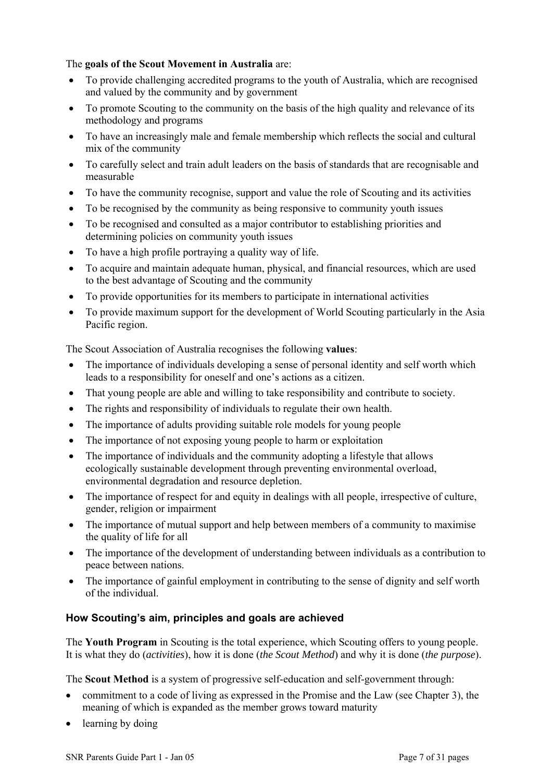### The **goals of the Scout Movement in Australia** are:

- To provide challenging accredited programs to the youth of Australia, which are recognised and valued by the community and by government
- To promote Scouting to the community on the basis of the high quality and relevance of its methodology and programs
- To have an increasingly male and female membership which reflects the social and cultural mix of the community
- To carefully select and train adult leaders on the basis of standards that are recognisable and measurable
- To have the community recognise, support and value the role of Scouting and its activities
- To be recognised by the community as being responsive to community youth issues
- To be recognised and consulted as a major contributor to establishing priorities and determining policies on community youth issues
- To have a high profile portraying a quality way of life.
- To acquire and maintain adequate human, physical, and financial resources, which are used to the best advantage of Scouting and the community
- To provide opportunities for its members to participate in international activities
- To provide maximum support for the development of World Scouting particularly in the Asia Pacific region.

The Scout Association of Australia recognises the following **values**:

- The importance of individuals developing a sense of personal identity and self worth which leads to a responsibility for oneself and one's actions as a citizen.
- That young people are able and willing to take responsibility and contribute to society.
- The rights and responsibility of individuals to regulate their own health.
- The importance of adults providing suitable role models for young people
- The importance of not exposing young people to harm or exploitation
- The importance of individuals and the community adopting a lifestyle that allows ecologically sustainable development through preventing environmental overload, environmental degradation and resource depletion.
- The importance of respect for and equity in dealings with all people, irrespective of culture, gender, religion or impairment
- The importance of mutual support and help between members of a community to maximise the quality of life for all
- The importance of the development of understanding between individuals as a contribution to peace between nations.
- The importance of gainful employment in contributing to the sense of dignity and self worth of the individual.

## **How Scouting's aim, principles and goals are achieved**

The **Youth Program** in Scouting is the total experience, which Scouting offers to young people. It is what they do (*activities*), how it is done (*the Scout Method*) and why it is done (*the purpose*).

The **Scout Method** is a system of progressive self-education and self-government through:

- commitment to a code of living as expressed in the Promise and the Law (see Chapter 3), the meaning of which is expanded as the member grows toward maturity
- learning by doing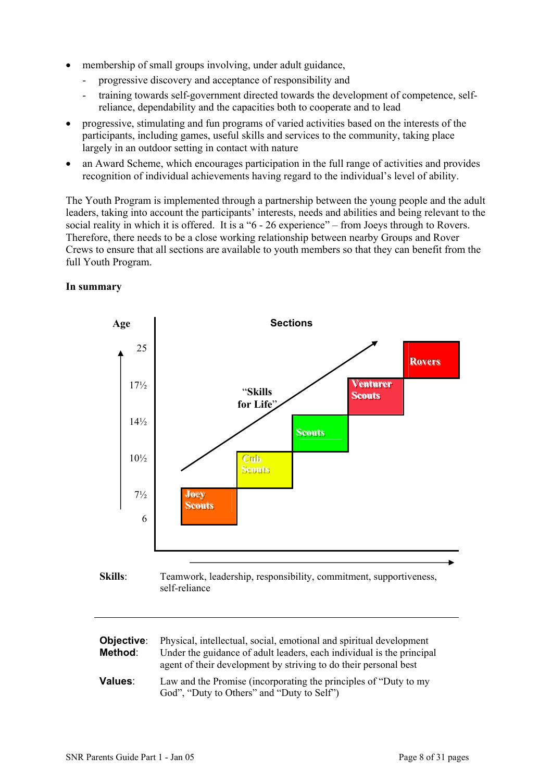- membership of small groups involving, under adult guidance,
	- progressive discovery and acceptance of responsibility and
	- training towards self-government directed towards the development of competence, selfreliance, dependability and the capacities both to cooperate and to lead
- progressive, stimulating and fun programs of varied activities based on the interests of the participants, including games, useful skills and services to the community, taking place largely in an outdoor setting in contact with nature
- an Award Scheme, which encourages participation in the full range of activities and provides recognition of individual achievements having regard to the individual's level of ability.

The Youth Program is implemented through a partnership between the young people and the adult leaders, taking into account the participants' interests, needs and abilities and being relevant to the social reality in which it is offered. It is a "6 - 26 experience" – from Joeys through to Rovers. Therefore, there needs to be a close working relationship between nearby Groups and Rover Crews to ensure that all sections are available to youth members so that they can benefit from the full Youth Program.



### **In summary**



| Objective:<br>Method: | Physical, intellectual, social, emotional and spiritual development<br>Under the guidance of adult leaders, each individual is the principal<br>agent of their development by striving to do their personal best |
|-----------------------|------------------------------------------------------------------------------------------------------------------------------------------------------------------------------------------------------------------|
| <b>Values:</b>        | Law and the Promise (incorporating the principles of "Duty to my<br>God", "Duty to Others" and "Duty to Self")                                                                                                   |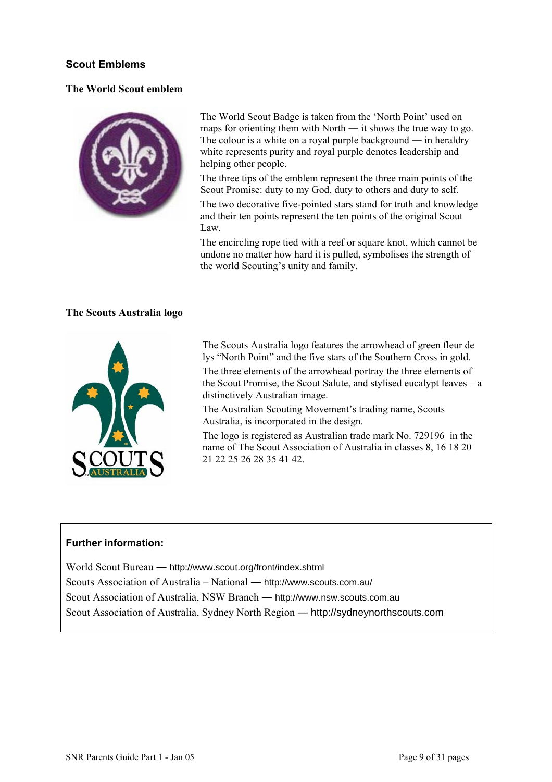### **Scout Emblems**

### **The World Scout emblem**



The World Scout Badge is taken from the 'North Point' used on maps for orienting them with North — it shows the true way to go. The colour is a white on a royal purple background — in heraldry white represents purity and royal purple denotes leadership and helping other people.

The three tips of the emblem represent the three main points of the Scout Promise: duty to my God, duty to others and duty to self.

The two decorative five-pointed stars stand for truth and knowledge and their ten points represent the ten points of the original Scout Law.

The encircling rope tied with a reef or square knot, which cannot be undone no matter how hard it is pulled, symbolises the strength of the world Scouting's unity and family.

### **The Scouts Australia logo**



The Scouts Australia logo features the arrowhead of green fleur de lys "North Point" and the five stars of the Southern Cross in gold.

The three elements of the arrowhead portray the three elements of the Scout Promise, the Scout Salute, and stylised eucalypt leaves – a distinctively Australian image.

The Australian Scouting Movement's trading name, Scouts Australia, is incorporated in the design.

The logo is registered as Australian trade mark No. 729196 in the name of The Scout Association of Australia in classes 8, 16 18 20 21 22 25 26 28 35 41 42.

### **Further information:**

World Scout Bureau ― <http://www.scout.org/front/index.shtml> Scouts Association of Australia – National ― http://www.scouts.com.au/ Scout Association of Australia, NSW Branch ― http://www.nsw.scouts.com.au Scout Association of Australia, Sydney North Region ― http://sydneynorthscouts.com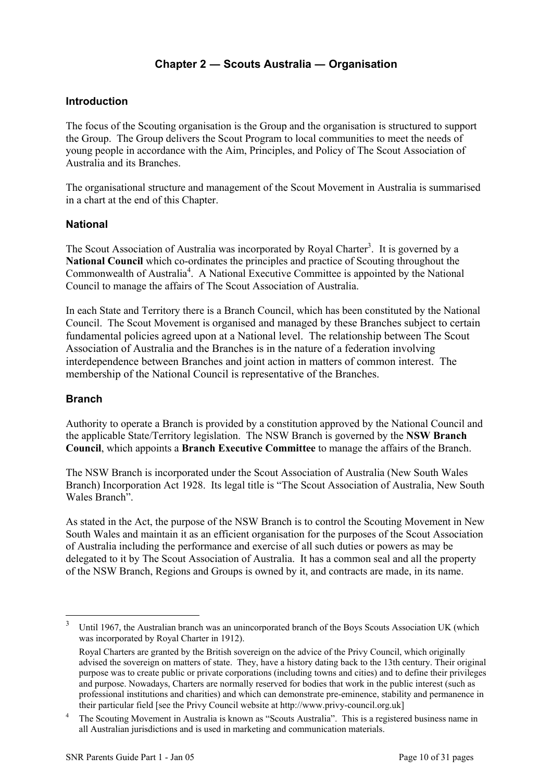# **Chapter 2 ― Scouts Australia ― Organisation**

### **Introduction**

The focus of the Scouting organisation is the Group and the organisation is structured to support the Group. The Group delivers the Scout Program to local communities to meet the needs of young people in accordance with the Aim, Principles, and Policy of The Scout Association of Australia and its Branches.

The organisational structure and management of the Scout Movement in Australia is summarised in a chart at the end of this Chapter.

### **National**

The Scout Association of Australia was incorporated by Royal Charter<sup>3</sup>. It is governed by a **National Council** which co-ordinates the principles and practice of Scouting throughout the Commonwealth of Australia<sup>[4](#page-9-1)</sup>. A National Executive Committee is appointed by the National Council to manage the affairs of The Scout Association of Australia.

In each State and Territory there is a Branch Council, which has been constituted by the National Council. The Scout Movement is organised and managed by these Branches subject to certain fundamental policies agreed upon at a National level. The relationship between The Scout Association of Australia and the Branches is in the nature of a federation involving interdependence between Branches and joint action in matters of common interest. The membership of the National Council is representative of the Branches.

### **Branch**

Authority to operate a Branch is provided by a constitution approved by the National Council and the applicable State/Territory legislation. The NSW Branch is governed by the **NSW Branch Council**, which appoints a **Branch Executive Committee** to manage the affairs of the Branch.

The NSW Branch is incorporated under the Scout Association of Australia (New South Wales Branch) Incorporation Act 1928. Its legal title is "The Scout Association of Australia, New South Wales Branch".

As stated in the Act, the purpose of the NSW Branch is to control the Scouting Movement in New South Wales and maintain it as an efficient organisation for the purposes of the Scout Association of Australia including the performance and exercise of all such duties or powers as may be delegated to it by The Scout Association of Australia. It has a common seal and all the property of the NSW Branch, Regions and Groups is owned by it, and contracts are made, in its name.

<span id="page-9-0"></span><sup>3</sup> Until 1967, the Australian branch was an unincorporated branch of the Boys Scouts Association UK (which was incorporated by Royal Charter in 1912).

Royal Charters are granted by the British sovereign on the advice of the Privy Council, which originally advised the sovereign on matters of state. They, have a history dating back to the 13th century. Their original purpose was to create public or private corporations (including towns and cities) and to define their privileges and purpose. Nowadays, Charters are normally reserved for bodies that work in the public interest (such as professional institutions and charities) and which can demonstrate pre-eminence, stability and permanence in their particular field [see the Privy Council website at http://www.privy-council.org.uk]

<span id="page-9-1"></span><sup>4</sup> The Scouting Movement in Australia is known as "Scouts Australia". This is a registered business name in all Australian jurisdictions and is used in marketing and communication materials.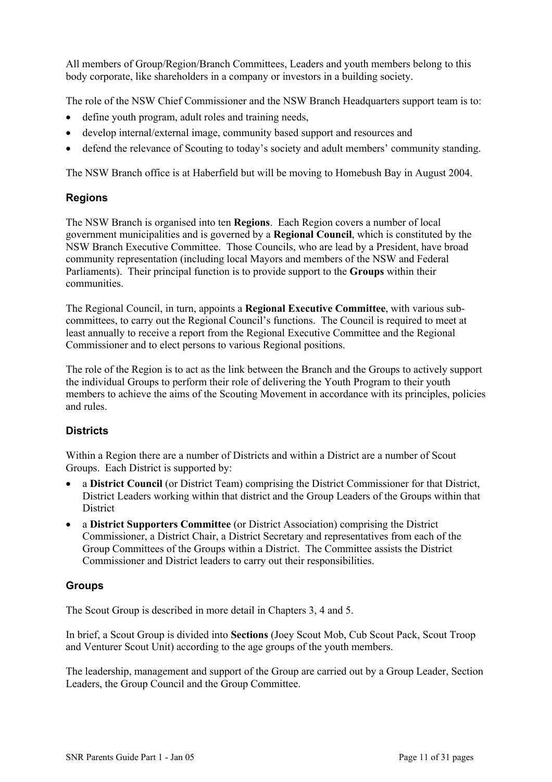All members of Group/Region/Branch Committees, Leaders and youth members belong to this body corporate, like shareholders in a company or investors in a building society.

The role of the NSW Chief Commissioner and the NSW Branch Headquarters support team is to:

- define youth program, adult roles and training needs,
- develop internal/external image, community based support and resources and
- defend the relevance of Scouting to today's society and adult members' community standing.

The NSW Branch office is at Haberfield but will be moving to Homebush Bay in August 2004.

### **Regions**

The NSW Branch is organised into ten **Regions**. Each Region covers a number of local government municipalities and is governed by a **Regional Council**, which is constituted by the NSW Branch Executive Committee. Those Councils, who are lead by a President, have broad community representation (including local Mayors and members of the NSW and Federal Parliaments). Their principal function is to provide support to the **Groups** within their communities.

The Regional Council, in turn, appoints a **Regional Executive Committee**, with various subcommittees, to carry out the Regional Council's functions. The Council is required to meet at least annually to receive a report from the Regional Executive Committee and the Regional Commissioner and to elect persons to various Regional positions.

The role of the Region is to act as the link between the Branch and the Groups to actively support the individual Groups to perform their role of delivering the Youth Program to their youth members to achieve the aims of the Scouting Movement in accordance with its principles, policies and rules.

## **Districts**

Within a Region there are a number of Districts and within a District are a number of Scout Groups. Each District is supported by:

- a **District Council** (or District Team) comprising the District Commissioner for that District, District Leaders working within that district and the Group Leaders of the Groups within that **District**
- a **District Supporters Committee** (or District Association) comprising the District Commissioner, a District Chair, a District Secretary and representatives from each of the Group Committees of the Groups within a District. The Committee assists the District Commissioner and District leaders to carry out their responsibilities.

### **Groups**

The Scout Group is described in more detail in Chapters 3, 4 and 5.

In brief, a Scout Group is divided into **Sections** (Joey Scout Mob, Cub Scout Pack, Scout Troop and Venturer Scout Unit) according to the age groups of the youth members.

The leadership, management and support of the Group are carried out by a Group Leader, Section Leaders, the Group Council and the Group Committee.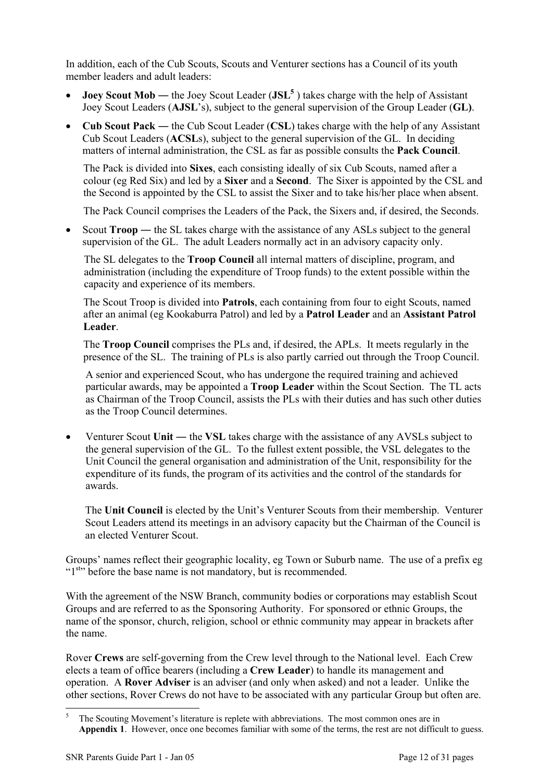In addition, each of the Cub Scouts, Scouts and Venturer sections has a Council of its youth member leaders and adult leaders:

- **Joey Scout Mob** the Joey Scout Leader (JSL<sup>5</sup>) takes charge with the help of Assistant Joey Scout Leaders (**AJSL**'s), subject to the general supervision of the Group Leader (**GL)**.
- **Cub Scout Pack** ― the Cub Scout Leader (**CSL**) takes charge with the help of any Assistant Cub Scout Leaders (**ACSL**s), subject to the general supervision of the GL. In deciding matters of internal administration, the CSL as far as possible consults the **Pack Council**.

The Pack is divided into **Sixes**, each consisting ideally of six Cub Scouts, named after a colour (eg Red Six) and led by a **Sixer** and a **Second**. The Sixer is appointed by the CSL and the Second is appointed by the CSL to assist the Sixer and to take his/her place when absent.

The Pack Council comprises the Leaders of the Pack, the Sixers and, if desired, the Seconds.

• Scout **Troop** — the SL takes charge with the assistance of any ASLs subject to the general supervision of the GL. The adult Leaders normally act in an advisory capacity only.

The SL delegates to the **Troop Council** all internal matters of discipline, program, and administration (including the expenditure of Troop funds) to the extent possible within the capacity and experience of its members.

The Scout Troop is divided into **Patrols**, each containing from four to eight Scouts, named after an animal (eg Kookaburra Patrol) and led by a **Patrol Leader** and an **Assistant Patrol Leader**.

The **Troop Council** comprises the PLs and, if desired, the APLs. It meets regularly in the presence of the SL. The training of PLs is also partly carried out through the Troop Council.

A senior and experienced Scout, who has undergone the required training and achieved particular awards, may be appointed a **Troop Leader** within the Scout Section. The TL acts as Chairman of the Troop Council, assists the PLs with their duties and has such other duties as the Troop Council determines.

• Venturer Scout Unit — the VSL takes charge with the assistance of any AVSLs subject to the general supervision of the GL. To the fullest extent possible, the VSL delegates to the Unit Council the general organisation and administration of the Unit, responsibility for the expenditure of its funds, the program of its activities and the control of the standards for awards.

The **Unit Council** is elected by the Unit's Venturer Scouts from their membership. Venturer Scout Leaders attend its meetings in an advisory capacity but the Chairman of the Council is an elected Venturer Scout.

Groups' names reflect their geographic locality, eg Town or Suburb name. The use of a prefix eg "1<sup>st,</sup> before the base name is not mandatory, but is recommended.

With the agreement of the NSW Branch, community bodies or corporations may establish Scout Groups and are referred to as the Sponsoring Authority. For sponsored or ethnic Groups, the name of the sponsor, church, religion, school or ethnic community may appear in brackets after the name.

Rover **Crews** are self-governing from the Crew level through to the National level. Each Crew elects a team of office bearers (including a **Crew Leader**) to handle its management and operation. A **Rover Adviser** is an adviser (and only when asked) and not a leader. Unlike the other sections, Rover Crews do not have to be associated with any particular Group but often are.

<span id="page-11-0"></span><sup>5</sup> The Scouting Movement's literature is replete with abbreviations. The most common ones are in **Appendix 1**. However, once one becomes familiar with some of the terms, the rest are not difficult to guess.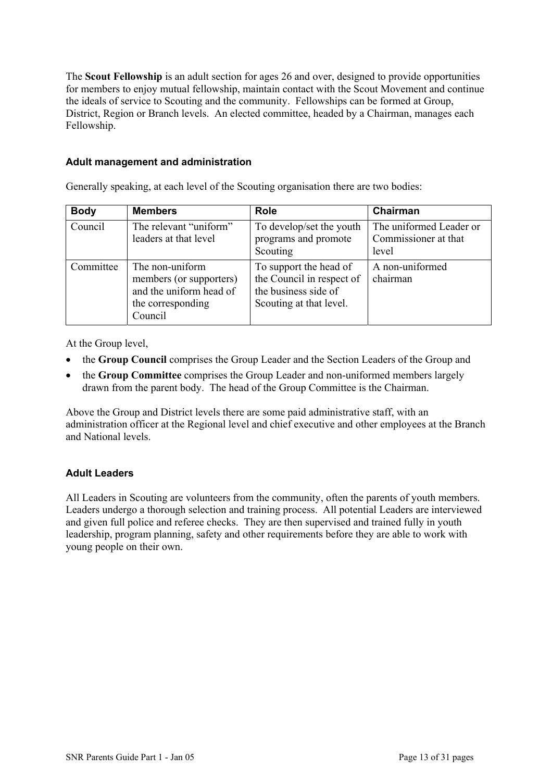The **Scout Fellowship** is an adult section for ages 26 and over, designed to provide opportunities for members to enjoy mutual fellowship, maintain contact with the Scout Movement and continue the ideals of service to Scouting and the community. Fellowships can be formed at Group, District, Region or Branch levels. An elected committee, headed by a Chairman, manages each Fellowship.

### **Adult management and administration**

Generally speaking, at each level of the Scouting organisation there are two bodies:

| <b>Body</b> | <b>Members</b>                                                                                        | <b>Role</b>                                                                                            | Chairman                                                 |
|-------------|-------------------------------------------------------------------------------------------------------|--------------------------------------------------------------------------------------------------------|----------------------------------------------------------|
| Council     | The relevant "uniform"<br>leaders at that level                                                       | To develop/set the youth<br>programs and promote<br>Scouting                                           | The uniformed Leader or<br>Commissioner at that<br>level |
| Committee   | The non-uniform<br>members (or supporters)<br>and the uniform head of<br>the corresponding<br>Council | To support the head of<br>the Council in respect of<br>the business side of<br>Scouting at that level. | A non-uniformed<br>chairman                              |

At the Group level,

- the **Group Council** comprises the Group Leader and the Section Leaders of the Group and
- the **Group Committee** comprises the Group Leader and non-uniformed members largely drawn from the parent body. The head of the Group Committee is the Chairman.

Above the Group and District levels there are some paid administrative staff, with an administration officer at the Regional level and chief executive and other employees at the Branch and National levels.

## **Adult Leaders**

All Leaders in Scouting are volunteers from the community, often the parents of youth members. Leaders undergo a thorough selection and training process. All potential Leaders are interviewed and given full police and referee checks. They are then supervised and trained fully in youth leadership, program planning, safety and other requirements before they are able to work with young people on their own.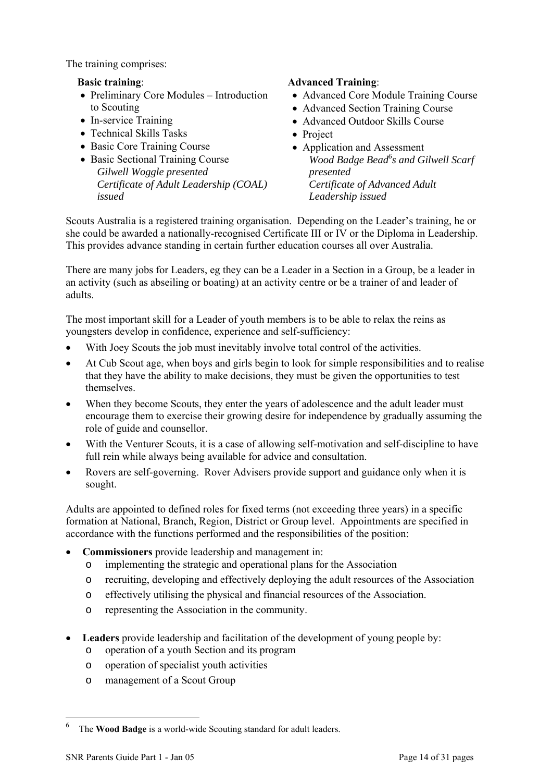The training comprises:

### **Basic training**:

- Preliminary Core Modules Introduction to Scouting
- In-service Training
- Technical Skills Tasks
- Basic Core Training Course
- Basic Sectional Training Course *Gilwell Woggle presented Certificate of Adult Leadership (COAL) issued*

### **Advanced Training**:

- Advanced Core Module Training Course
- Advanced Section Training Course
- Advanced Outdoor Skills Course
- Project
- Application and Assessment Wood Badge Bead<sup>6</sup>s and Gilwell Scarf *presented Certificate of Advanced Adult Leadership issued*

Scouts Australia is a registered training organisation. Depending on the Leader's training, he or she could be awarded a nationally-recognised Certificate III or IV or the Diploma in Leadership. This provides advance standing in certain further education courses all over Australia.

There are many jobs for Leaders, eg they can be a Leader in a Section in a Group, be a leader in an activity (such as abseiling or boating) at an activity centre or be a trainer of and leader of adults.

The most important skill for a Leader of youth members is to be able to relax the reins as youngsters develop in confidence, experience and self-sufficiency:

- With Joey Scouts the job must inevitably involve total control of the activities.
- At Cub Scout age, when boys and girls begin to look for simple responsibilities and to realise that they have the ability to make decisions, they must be given the opportunities to test themselves.
- When they become Scouts, they enter the years of adolescence and the adult leader must encourage them to exercise their growing desire for independence by gradually assuming the role of guide and counsellor.
- With the Venturer Scouts, it is a case of allowing self-motivation and self-discipline to have full rein while always being available for advice and consultation.
- Rovers are self-governing. Rover Advisers provide support and guidance only when it is sought.

Adults are appointed to defined roles for fixed terms (not exceeding three years) in a specific formation at National, Branch, Region, District or Group level. Appointments are specified in accordance with the functions performed and the responsibilities of the position:

- **Commissioners** provide leadership and management in:
	- o implementing the strategic and operational plans for the Association
	- o recruiting, developing and effectively deploying the adult resources of the Association
	- o effectively utilising the physical and financial resources of the Association.
	- o representing the Association in the community.
- **Leaders** provide leadership and facilitation of the development of young people by:
	- o operation of a youth Section and its program
	- o operation of specialist youth activities
	- o management of a Scout Group

<span id="page-13-0"></span><sup>6</sup> The **Wood Badge** is a world-wide Scouting standard for adult leaders.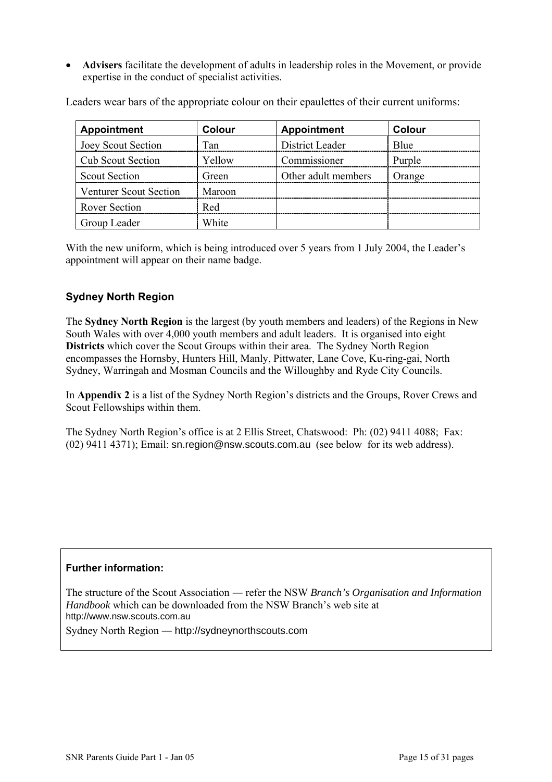• **Advisers** facilitate the development of adults in leadership roles in the Movement, or provide expertise in the conduct of specialist activities.

Leaders wear bars of the appropriate colour on their epaulettes of their current uniforms:

| <b>Appointment</b>            | <b>Colour</b> | <b>Appointment</b>  | <b>Colour</b> |
|-------------------------------|---------------|---------------------|---------------|
| Joey Scout Section            | Tan           | District Leader     | <b>B</b> lue  |
| <b>Cub Scout Section</b>      | Yellow        | Commissioner        | Purple        |
| <b>Scout Section</b>          | Green         | Other adult members | Orange        |
| <b>Venturer Scout Section</b> | Maroon        |                     |               |
| <b>Rover Section</b>          | Red           |                     |               |
| Group Leader                  | White         |                     |               |

With the new uniform, which is being introduced over 5 years from 1 July 2004, the Leader's appointment will appear on their name badge.

## **Sydney North Region**

The **Sydney North Region** is the largest (by youth members and leaders) of the Regions in New South Wales with over 4,000 youth members and adult leaders. It is organised into eight **Districts** which cover the Scout Groups within their area. The Sydney North Region encompasses the Hornsby, Hunters Hill, Manly, Pittwater, Lane Cove, Ku-ring-gai, North Sydney, Warringah and Mosman Councils and the Willoughby and Ryde City Councils.

In **Appendix 2** is a list of the Sydney North Region's districts and the Groups, Rover Crews and Scout Fellowships within them.

The Sydney North Region's office is at 2 Ellis Street, Chatswood: Ph: (02) 9411 4088; Fax: (02) 9411 4371); Email: sn.region@nsw.scouts.com.au (see below for its web address).

### **Further information:**

The structure of the Scout Association ― refer the NSW *Branch's Organisation and Information Handbook* which can be downloaded from the NSW Branch's web site at http://www.nsw.scouts.com.au

Sydney North Region ― http://sydneynorthscouts.com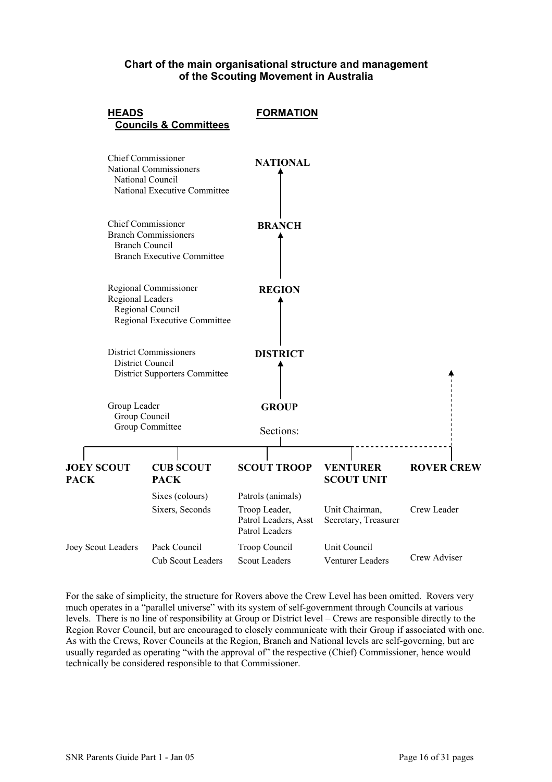### **Chart of the main organisational structure and management of the Scouting Movement in Australia**



For the sake of simplicity, the structure for Rovers above the Crew Level has been omitted. Rovers very much operates in a "parallel universe" with its system of self-government through Councils at various levels. There is no line of responsibility at Group or District level – Crews are responsible directly to the Region Rover Council, but are encouraged to closely communicate with their Group if associated with one. As with the Crews, Rover Councils at the Region, Branch and National levels are self-governing, but are usually regarded as operating "with the approval of" the respective (Chief) Commissioner, hence would technically be considered responsible to that Commissioner.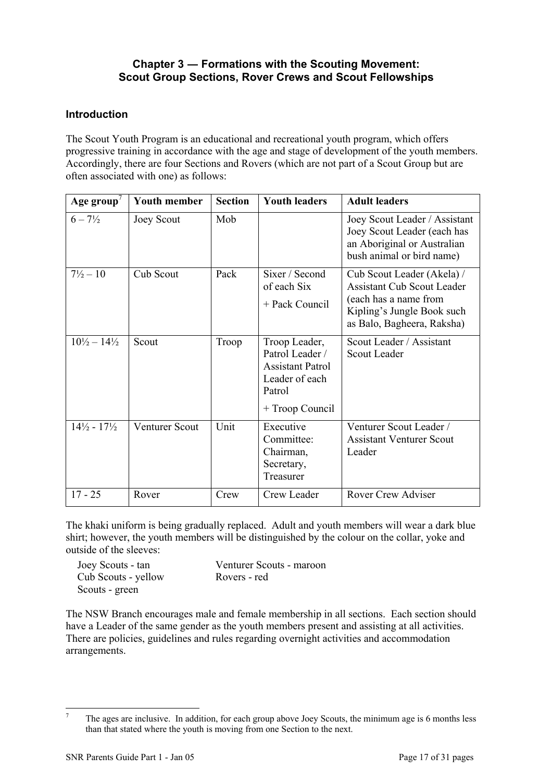## **Chapter 3 ― Formations with the Scouting Movement: Scout Group Sections, Rover Crews and Scout Fellowships**

### **Introduction**

The Scout Youth Program is an educational and recreational youth program, which offers progressive training in accordance with the age and stage of development of the youth members. Accordingly, there are four Sections and Rovers (which are not part of a Scout Group but are often associated with one) as follows:

| Age group                       | <b>Youth member</b>   | <b>Section</b> | <b>Youth leaders</b>                                                                                       | <b>Adult leaders</b>                                                                                                                                 |
|---------------------------------|-----------------------|----------------|------------------------------------------------------------------------------------------------------------|------------------------------------------------------------------------------------------------------------------------------------------------------|
| $6 - 7\frac{1}{2}$              | Joey Scout            | Mob            |                                                                                                            | Joey Scout Leader / Assistant<br>Joey Scout Leader (each has<br>an Aboriginal or Australian<br>bush animal or bird name)                             |
| $7\frac{1}{2} - 10$             | Cub Scout             | Pack           | Sixer / Second<br>of each Six<br>+ Pack Council                                                            | Cub Scout Leader (Akela) /<br><b>Assistant Cub Scout Leader</b><br>(each has a name from<br>Kipling's Jungle Book such<br>as Balo, Bagheera, Raksha) |
| $10\frac{1}{2} - 14\frac{1}{2}$ | Scout                 | Troop          | Troop Leader,<br>Patrol Leader /<br><b>Assistant Patrol</b><br>Leader of each<br>Patrol<br>+ Troop Council | Scout Leader / Assistant<br>Scout Leader                                                                                                             |
| $14\frac{1}{2} - 17\frac{1}{2}$ | <b>Venturer Scout</b> | Unit           | Executive<br>Committee:<br>Chairman,<br>Secretary,<br>Treasurer                                            | Venturer Scout Leader /<br><b>Assistant Venturer Scout</b><br>Leader                                                                                 |
| $17 - 25$                       | Rover                 | Crew           | Crew Leader                                                                                                | <b>Rover Crew Adviser</b>                                                                                                                            |

The khaki uniform is being gradually replaced. Adult and youth members will wear a dark blue shirt; however, the youth members will be distinguished by the colour on the collar, yoke and outside of the sleeves:

| Joey Scouts - tan   | Venturer Scouts - maroon |
|---------------------|--------------------------|
| Cub Scouts - yellow | Rovers - red             |
| Scouts - green      |                          |

The NSW Branch encourages male and female membership in all sections. Each section should have a Leader of the same gender as the youth members present and assisting at all activities. There are policies, guidelines and rules regarding overnight activities and accommodation arrangements.

<span id="page-16-0"></span><sup>-&</sup>lt;br>7 The ages are inclusive. In addition, for each group above Joey Scouts, the minimum age is 6 months less than that stated where the youth is moving from one Section to the next.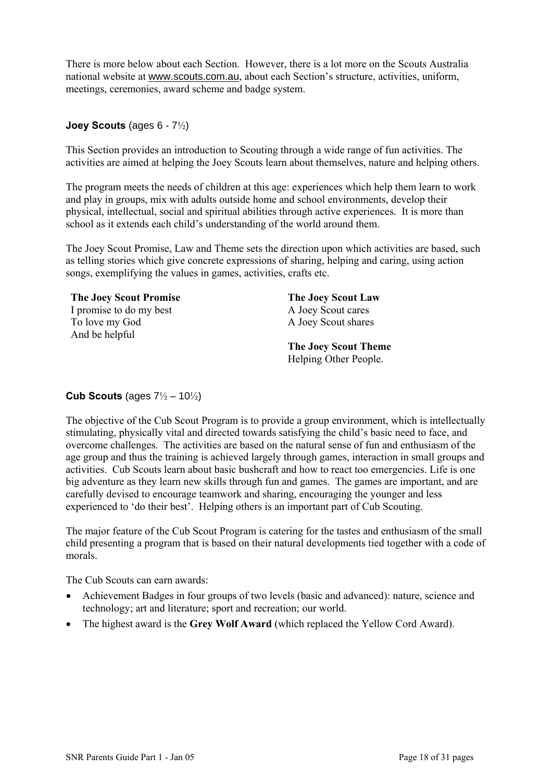There is more below about each Section. However, there is a lot more on the Scouts Australia national website at www.scouts.com.au, about each Section's structure, activities, uniform, meetings, ceremonies, award scheme and badge system.

### **Joey Scouts** (ages 6 - 7½)

This Section provides an introduction to Scouting through a wide range of fun activities. The activities are aimed at helping the Joey Scouts learn about themselves, nature and helping others.

The program meets the needs of children at this age: experiences which help them learn to work and play in groups, mix with adults outside home and school environments, develop their physical, intellectual, social and spiritual abilities through active experiences. It is more than school as it extends each child's understanding of the world around them.

The Joey Scout Promise, Law and Theme sets the direction upon which activities are based, such as telling stories which give concrete expressions of sharing, helping and caring, using action songs, exemplifying the values in games, activities, crafts etc.

| <b>The Joey Scout Promise</b> | <b>The Joey Scout Law</b>   |
|-------------------------------|-----------------------------|
| I promise to do my best       | A Joey Scout cares          |
| To love my God                | A Joey Scout shares         |
| And be helpful                |                             |
|                               | <b>The Joey Scout Theme</b> |
|                               | Helping Other People.       |

### **Cub Scouts** (ages 7½ – 10½)

The objective of the Cub Scout Program is to provide a group environment, which is intellectually stimulating, physically vital and directed towards satisfying the child's basic need to face, and overcome challenges. The activities are based on the natural sense of fun and enthusiasm of the age group and thus the training is achieved largely through games, interaction in small groups and activities. Cub Scouts learn about basic bushcraft and how to react too emergencies. Life is one big adventure as they learn new skills through fun and games. The games are important, and are carefully devised to encourage teamwork and sharing, encouraging the younger and less experienced to 'do their best'. Helping others is an important part of Cub Scouting.

The major feature of the Cub Scout Program is catering for the tastes and enthusiasm of the small child presenting a program that is based on their natural developments tied together with a code of morals.

The Cub Scouts can earn awards:

- Achievement Badges in four groups of two levels (basic and advanced): nature, science and technology; art and literature; sport and recreation; our world.
- The highest award is the **Grey Wolf Award** (which replaced the Yellow Cord Award).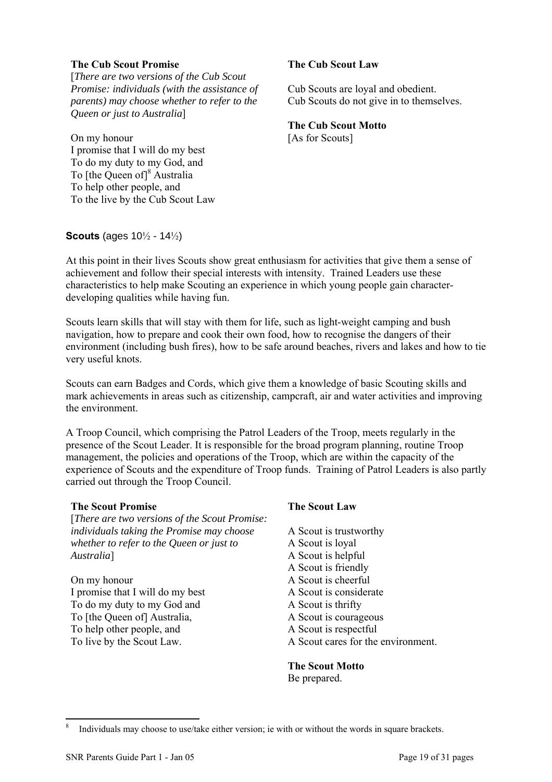#### **The Cub Scout Promise**

[*There are two versions of the Cub Scout Promise: individuals (with the assistance of parents) may choose whether to refer to the Queen or just to Australia*]

On my honour I promise that I will do my best To do my duty to my God, and To [the Queen of]<sup>8</sup> Australia To help other people, and To the live by the Cub Scout Law

### **The Cub Scout Law**

Cub Scouts are loyal and obedient. Cub Scouts do not give in to themselves.

**The Cub Scout Motto**  [As for Scouts]

**Scouts** (ages 10½ - 14½)

At this point in their lives Scouts show great enthusiasm for activities that give them a sense of achievement and follow their special interests with intensity. Trained Leaders use these characteristics to help make Scouting an experience in which young people gain characterdeveloping qualities while having fun.

Scouts learn skills that will stay with them for life, such as light-weight camping and bush navigation, how to prepare and cook their own food, how to recognise the dangers of their environment (including bush fires), how to be safe around beaches, rivers and lakes and how to tie very useful knots.

Scouts can earn Badges and Cords, which give them a knowledge of basic Scouting skills and mark achievements in areas such as citizenship, campcraft, air and water activities and improving the environment.

A Troop Council, which comprising the Patrol Leaders of the Troop, meets regularly in the presence of the Scout Leader. It is responsible for the broad program planning, routine Troop management, the policies and operations of the Troop, which are within the capacity of the experience of Scouts and the expenditure of Troop funds. Training of Patrol Leaders is also partly carried out through the Troop Council.

### **The Scout Promise**

[*There are two versions of the Scout Promise: individuals taking the Promise may choose whether to refer to the Queen or just to Australia*]

On my honour I promise that I will do my best To do my duty to my God and To [the Queen of] Australia, To help other people, and To live by the Scout Law.

### **The Scout Law**

A Scout is trustworthy A Scout is loyal A Scout is helpful A Scout is friendly A Scout is cheerful A Scout is considerate A Scout is thrifty A Scout is courageous A Scout is respectful A Scout cares for the environment.

**The Scout Motto**  Be prepared.

 $\overline{a}$ 

<span id="page-18-0"></span>Individuals may choose to use/take either version; ie with or without the words in square brackets.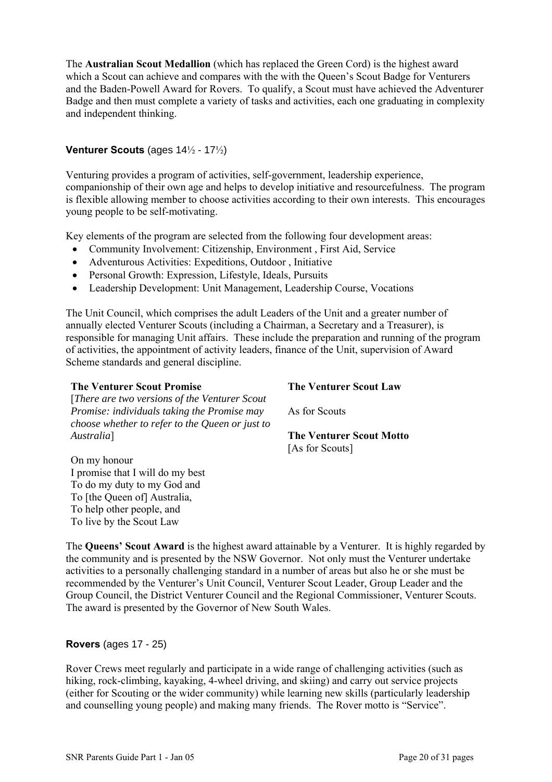The **Australian Scout Medallion** (which has replaced the Green Cord) is the highest award which a Scout can achieve and compares with the with the Queen's Scout Badge for Venturers and the Baden-Powell Award for Rovers. To qualify, a Scout must have achieved the Adventurer Badge and then must complete a variety of tasks and activities, each one graduating in complexity and independent thinking.

### **Venturer Scouts** (ages 14½ - 17½)

Venturing provides a program of activities, self-government, leadership experience, companionship of their own age and helps to develop initiative and resourcefulness. The program is flexible allowing member to choose activities according to their own interests. This encourages young people to be self-motivating.

Key elements of the program are selected from the following four development areas:

- Community Involvement: Citizenship, Environment, First Aid, Service
- Adventurous Activities: Expeditions, Outdoor , Initiative
- Personal Growth: Expression, Lifestyle, Ideals, Pursuits
- Leadership Development: Unit Management, Leadership Course, Vocations

The Unit Council, which comprises the adult Leaders of the Unit and a greater number of annually elected Venturer Scouts (including a Chairman, a Secretary and a Treasurer), is responsible for managing Unit affairs. These include the preparation and running of the program of activities, the appointment of activity leaders, finance of the Unit, supervision of Award Scheme standards and general discipline.

#### **The Venturer Scout Promise**

[*There are two versions of the Venturer Scout Promise: individuals taking the Promise may choose whether to refer to the Queen or just to Australia*]

#### **The Venturer Scout Law**

As for Scouts

#### **The Venturer Scout Motto**  [As for Scouts]

On my honour I promise that I will do my best To do my duty to my God and To [the Queen of] Australia, To help other people, and To live by the Scout Law

The **Queens' Scout Award** is the highest award attainable by a Venturer. It is highly regarded by the community and is presented by the NSW Governor. Not only must the Venturer undertake activities to a personally challenging standard in a number of areas but also he or she must be recommended by the Venturer's Unit Council, Venturer Scout Leader, Group Leader and the Group Council, the District Venturer Council and the Regional Commissioner, Venturer Scouts. The award is presented by the Governor of New South Wales.

### **Rovers** (ages 17 - 25)

Rover Crews meet regularly and participate in a wide range of challenging activities (such as hiking, rock-climbing, kayaking, 4-wheel driving, and skiing) and carry out service projects (either for Scouting or the wider community) while learning new skills (particularly leadership and counselling young people) and making many friends. The Rover motto is "Service".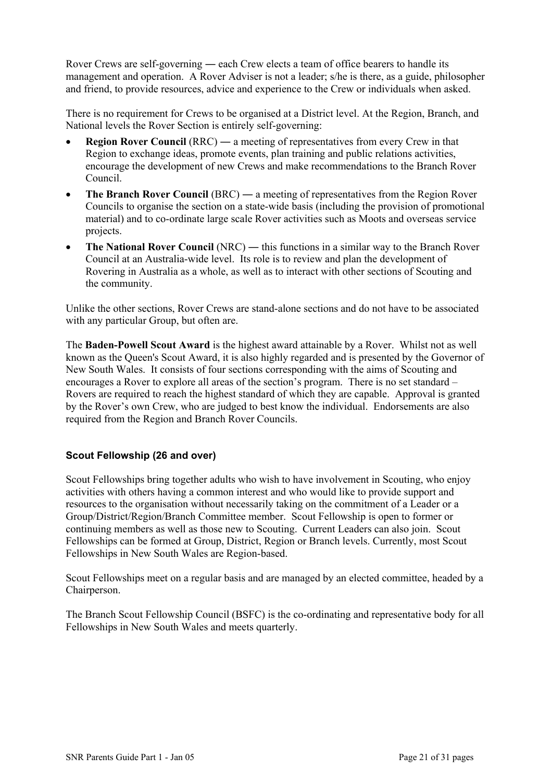Rover Crews are self-governing ― each Crew elects a team of office bearers to handle its management and operation. A Rover Adviser is not a leader; s/he is there, as a guide, philosopher and friend, to provide resources, advice and experience to the Crew or individuals when asked.

There is no requirement for Crews to be organised at a District level. At the Region, Branch, and National levels the Rover Section is entirely self-governing:

- **Region Rover Council** (RRC) a meeting of representatives from every Crew in that Region to exchange ideas, promote events, plan training and public relations activities, encourage the development of new Crews and make recommendations to the Branch Rover Council.
- **The Branch Rover Council** (BRC) a meeting of representatives from the Region Rover Councils to organise the section on a state-wide basis (including the provision of promotional material) and to co-ordinate large scale Rover activities such as Moots and overseas service projects.
- **The National Rover Council** (NRC) this functions in a similar way to the Branch Rover Council at an Australia-wide level. Its role is to review and plan the development of Rovering in Australia as a whole, as well as to interact with other sections of Scouting and the community.

Unlike the other sections, Rover Crews are stand-alone sections and do not have to be associated with any particular Group, but often are.

The **Baden-Powell Scout Award** is the highest award attainable by a Rover. Whilst not as well known as the Queen's Scout Award, it is also highly regarded and is presented by the Governor of New South Wales. It consists of four sections corresponding with the aims of Scouting and encourages a Rover to explore all areas of the section's program. There is no set standard – Rovers are required to reach the highest standard of which they are capable. Approval is granted by the Rover's own Crew, who are judged to best know the individual. Endorsements are also required from the Region and Branch Rover Councils.

### **Scout Fellowship (26 and over)**

Scout Fellowships bring together adults who wish to have involvement in Scouting, who enjoy activities with others having a common interest and who would like to provide support and resources to the organisation without necessarily taking on the commitment of a Leader or a Group/District/Region/Branch Committee member. Scout Fellowship is open to former or continuing members as well as those new to Scouting. Current Leaders can also join. Scout Fellowships can be formed at Group, District, Region or Branch levels. Currently, most Scout Fellowships in New South Wales are Region-based.

Scout Fellowships meet on a regular basis and are managed by an elected committee, headed by a Chairperson.

The Branch Scout Fellowship Council (BSFC) is the co-ordinating and representative body for all Fellowships in New South Wales and meets quarterly.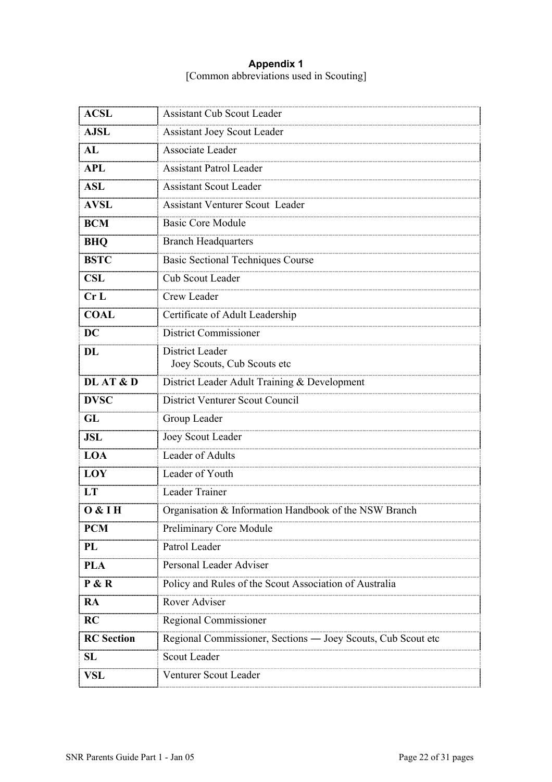### **Appendix 1**  [Common abbreviations used in Scouting]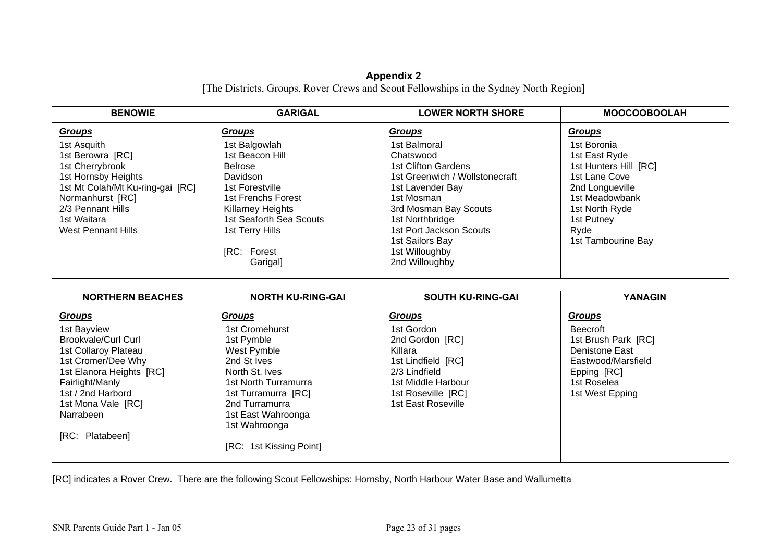#### **Appendix 2**  [The Districts, Groups, Rover Crews and Scout Fellowships in the Sydney North Region]

| <b>BENOWIE</b>                                                                                                                                                                              | <b>GARIGAL</b>                                                                                                                                                                                               | <b>LOWER NORTH SHORE</b>                                                                                                                                                                                                                                  | <b>MOOCOOBOOLAH</b>                                                                                                                                                       |
|---------------------------------------------------------------------------------------------------------------------------------------------------------------------------------------------|--------------------------------------------------------------------------------------------------------------------------------------------------------------------------------------------------------------|-----------------------------------------------------------------------------------------------------------------------------------------------------------------------------------------------------------------------------------------------------------|---------------------------------------------------------------------------------------------------------------------------------------------------------------------------|
| <b>Groups</b>                                                                                                                                                                               | <b>Groups</b>                                                                                                                                                                                                | <b>Groups</b>                                                                                                                                                                                                                                             | <b>Groups</b>                                                                                                                                                             |
| 1st Asquith<br>1st Berowra [RC]<br>1st Cherrybrook<br>1st Hornsby Heights<br>1st Mt Colah/Mt Ku-ring-gai [RC]<br>Normanhurst [RC]<br>2/3 Pennant Hills<br>1st Waitara<br>West Pennant Hills | 1st Balgowlah<br>1st Beacon Hill<br><b>Belrose</b><br><b>Davidson</b><br>1st Forestville<br>1st Frenchs Forest<br>Killarney Heights<br>1st Seaforth Sea Scouts<br>1st Terry Hills<br>[RC: Forest<br>Garigal] | 1st Balmoral<br>Chatswood<br><b>1st Clifton Gardens</b><br>1st Greenwich / Wollstonecraft<br>1st Lavender Bay<br>1st Mosman<br>3rd Mosman Bay Scouts<br>1st Northbridge<br>1st Port Jackson Scouts<br>1st Sailors Bay<br>1st Willoughby<br>2nd Willoughby | 1st Boronia<br>1st East Ryde<br>1st Hunters Hill [RC]<br>1st Lane Cove<br>2nd Longueville<br>1st Meadowbank<br>1st North Ryde<br>1st Putney<br>Ryde<br>1st Tambourine Bay |

| <b>NORTHERN BEACHES</b>                                                                                                                              | <b>NORTH KU-RING-GAI</b>                                                                                                    | <b>SOUTH KU-RING-GAI</b>                                                                                                    | <b>YANAGIN</b>                                                                                                                  |
|------------------------------------------------------------------------------------------------------------------------------------------------------|-----------------------------------------------------------------------------------------------------------------------------|-----------------------------------------------------------------------------------------------------------------------------|---------------------------------------------------------------------------------------------------------------------------------|
| <b>Groups</b>                                                                                                                                        | <u>Groups</u>                                                                                                               | <b>Groups</b>                                                                                                               | <b>Groups</b>                                                                                                                   |
| 1st Bayview<br>Brookvale/Curl Curl<br>1st Collaroy Plateau<br>1st Cromer/Dee Why<br>1st Elanora Heights [RC]<br>Fairlight/Manly<br>1st / 2nd Harbord | 1st Cromehurst<br>1st Pymble<br>West Pymble<br>2nd St Ives<br>North St. Ives<br>1st North Turramurra<br>1st Turramurra [RC] | 1st Gordon<br>2nd Gordon [RC]<br>Killara<br>1st Lindfield [RC]<br>2/3 Lindfield<br>1st Middle Harbour<br>1st Roseville [RC] | <b>Beecroft</b><br>1st Brush Park [RC]<br>Denistone East<br>Eastwood/Marsfield<br>Epping [RC]<br>1st Roselea<br>1st West Epping |
| 1st Mona Vale [RC]<br>Narrabeen<br>[RC: Platabeen]                                                                                                   | 2nd Turramurra<br>1st East Wahroonga<br>1st Wahroonga<br>[RC: 1st Kissing Point]                                            | 1st East Roseville                                                                                                          |                                                                                                                                 |

[RC] indicates a Rover Crew. There are the following Scout Fellowships: Hornsby, North Harbour Water Base and Wallumetta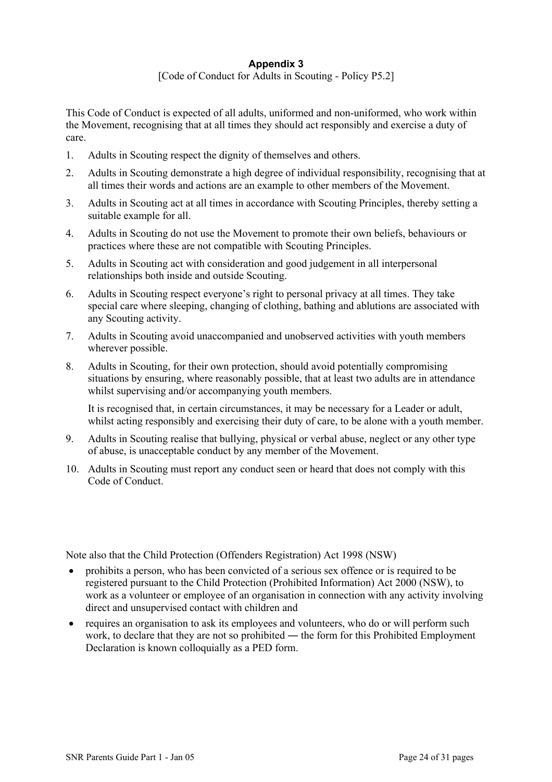### **Appendix 3**  [Code of Conduct for Adults in Scouting - Policy P5.2]

This Code of Conduct is expected of all adults, uniformed and non-uniformed, who work within

the Movement, recognising that at all times they should act responsibly and exercise a duty of care.

- 1. Adults in Scouting respect the dignity of themselves and others.
- 2. Adults in Scouting demonstrate a high degree of individual responsibility, recognising that at all times their words and actions are an example to other members of the Movement.
- 3. Adults in Scouting act at all times in accordance with Scouting Principles, thereby setting a suitable example for all.
- 4. Adults in Scouting do not use the Movement to promote their own beliefs, behaviours or practices where these are not compatible with Scouting Principles.
- 5. Adults in Scouting act with consideration and good judgement in all interpersonal relationships both inside and outside Scouting.
- 6. Adults in Scouting respect everyone's right to personal privacy at all times. They take special care where sleeping, changing of clothing, bathing and ablutions are associated with any Scouting activity.
- 7. Adults in Scouting avoid unaccompanied and unobserved activities with youth members wherever possible.
- 8. Adults in Scouting, for their own protection, should avoid potentially compromising situations by ensuring, where reasonably possible, that at least two adults are in attendance whilst supervising and/or accompanying youth members.

It is recognised that, in certain circumstances, it may be necessary for a Leader or adult, whilst acting responsibly and exercising their duty of care, to be alone with a youth member.

- 9. Adults in Scouting realise that bullying, physical or verbal abuse, neglect or any other type of abuse, is unacceptable conduct by any member of the Movement.
- 10. Adults in Scouting must report any conduct seen or heard that does not comply with this Code of Conduct

Note also that the Child Protection (Offenders Registration) Act 1998 (NSW)

- prohibits a person, who has been convicted of a serious sex offence or is required to be registered pursuant to the Child Protection (Prohibited Information) Act 2000 (NSW), to work as a volunteer or employee of an organisation in connection with any activity involving direct and unsupervised contact with children and
- requires an organisation to ask its employees and volunteers, who do or will perform such work, to declare that they are not so prohibited — the form for this Prohibited Employment Declaration is known colloquially as a PED form.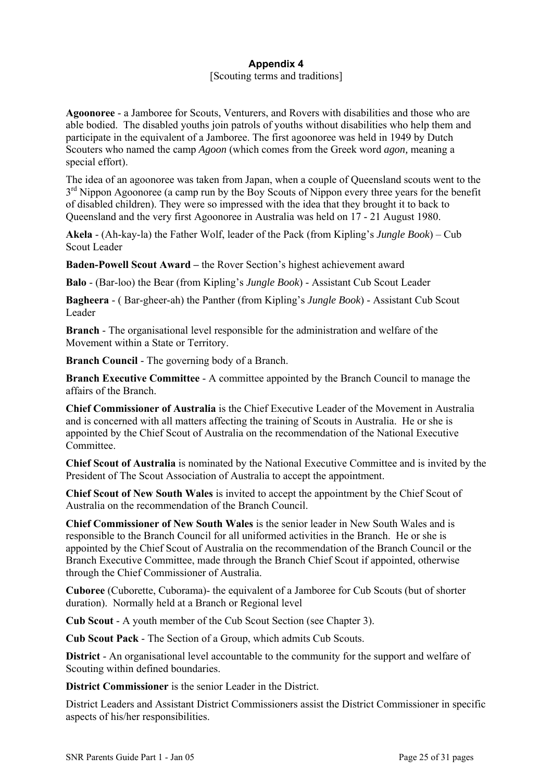# **Appendix 4**

### [Scouting terms and traditions]

**Agoonoree** - a Jamboree for Scouts, Venturers, and Rovers with disabilities and those who are able bodied. The disabled youths join patrols of youths without disabilities who help them and participate in the equivalent of a Jamboree. The first agoonoree was held in 1949 by Dutch Scouters who named the camp *Agoon* (which comes from the Greek word *agon,* meaning a special effort).

The idea of an agoonoree was taken from Japan, when a couple of Queensland scouts went to the  $3<sup>rd</sup>$  Nippon Agoonoree (a camp run by the Boy Scouts of Nippon every three years for the benefit of disabled children). They were so impressed with the idea that they brought it to back to Queensland and the very first Agoonoree in Australia was held on 17 - 21 August 1980.

**Akela** - (Ah-kay-la) the Father Wolf, leader of the Pack (from Kipling's *Jungle Book*) – Cub Scout Leader

**Baden-Powell Scout Award –** the Rover Section's highest achievement award

**Balo** - (Bar-loo) the Bear (from Kipling's *Jungle Book*) - Assistant Cub Scout Leader

**Bagheera** - ( Bar-gheer-ah) the Panther (from Kipling's *Jungle Book*) - Assistant Cub Scout Leader

**Branch** - The organisational level responsible for the administration and welfare of the Movement within a State or Territory.

**Branch Council** - The governing body of a Branch.

**Branch Executive Committee** - A committee appointed by the Branch Council to manage the affairs of the Branch.

**Chief Commissioner of Australia** is the Chief Executive Leader of the Movement in Australia and is concerned with all matters affecting the training of Scouts in Australia. He or she is appointed by the Chief Scout of Australia on the recommendation of the National Executive Committee.

**Chief Scout of Australia** is nominated by the National Executive Committee and is invited by the President of The Scout Association of Australia to accept the appointment.

**Chief Scout of New South Wales** is invited to accept the appointment by the Chief Scout of Australia on the recommendation of the Branch Council.

**Chief Commissioner of New South Wales** is the senior leader in New South Wales and is responsible to the Branch Council for all uniformed activities in the Branch. He or she is appointed by the Chief Scout of Australia on the recommendation of the Branch Council or the Branch Executive Committee, made through the Branch Chief Scout if appointed, otherwise through the Chief Commissioner of Australia.

**Cuboree** (Cuborette, Cuborama)- the equivalent of a Jamboree for Cub Scouts (but of shorter duration). Normally held at a Branch or Regional level

**Cub Scout** - A youth member of the Cub Scout Section (see Chapter 3).

**Cub Scout Pack** - The Section of a Group, which admits Cub Scouts.

**District** - An organisational level accountable to the community for the support and welfare of Scouting within defined boundaries.

**District Commissioner** is the senior Leader in the District.

District Leaders and Assistant District Commissioners assist the District Commissioner in specific aspects of his/her responsibilities.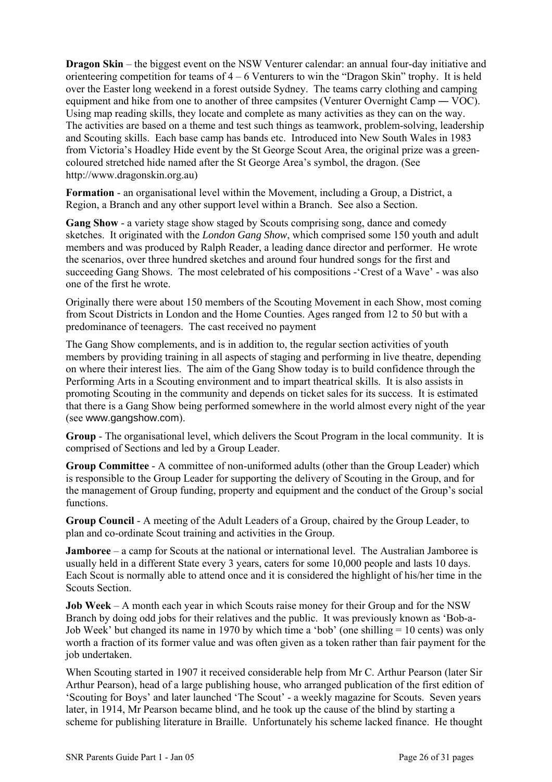**Dragon Skin** – the biggest event on the NSW Venturer calendar: an annual four-day initiative and orienteering competition for teams of 4 – 6 Venturers to win the "Dragon Skin" trophy. It is held over the Easter long weekend in a forest outside Sydney. The teams carry clothing and camping equipment and hike from one to another of three campsites (Venturer Overnight Camp — VOC). Using map reading skills, they locate and complete as many activities as they can on the way. The activities are based on a theme and test such things as teamwork, problem-solving, leadership and Scouting skills. Each base camp has bands etc. Introduced into New South Wales in 1983 from Victoria's Hoadley Hide event by the St George Scout Area, the original prize was a greencoloured stretched hide named after the St George Area's symbol, the dragon. (See http://www.dragonskin.org.au)

**Formation** - an organisational level within the Movement, including a Group, a District, a Region, a Branch and any other support level within a Branch. See also a Section.

**Gang Show** - a variety stage show staged by Scouts comprising song, dance and comedy sketches. It originated with the *London Gang Show*, which comprised some 150 youth and adult members and was produced by Ralph Reader, a leading dance director and performer. He wrote the scenarios, over three hundred sketches and around four hundred songs for the first and succeeding Gang Shows. The most celebrated of his compositions -'Crest of a Wave' - was also one of the first he wrote.

Originally there were about 150 members of the Scouting Movement in each Show, most coming from Scout Districts in London and the Home Counties. Ages ranged from 12 to 50 but with a predominance of teenagers. The cast received no payment

The Gang Show complements, and is in addition to, the regular section activities of youth members by providing training in all aspects of staging and performing in live theatre, depending on where their interest lies. The aim of the Gang Show today is to build confidence through the Performing Arts in a Scouting environment and to impart theatrical skills. It is also assists in promoting Scouting in the community and depends on ticket sales for its success. It is estimated that there is a Gang Show being performed somewhere in the world almost every night of the year (see www.gangshow.com).

**Group** - The organisational level, which delivers the Scout Program in the local community. It is comprised of Sections and led by a Group Leader.

**Group Committee** - A committee of non-uniformed adults (other than the Group Leader) which is responsible to the Group Leader for supporting the delivery of Scouting in the Group, and for the management of Group funding, property and equipment and the conduct of the Group's social functions.

**Group Council** - A meeting of the Adult Leaders of a Group, chaired by the Group Leader, to plan and co-ordinate Scout training and activities in the Group.

**Jamboree** – a camp for Scouts at the national or international level. The Australian Jamboree is usually held in a different State every 3 years, caters for some 10,000 people and lasts 10 days. Each Scout is normally able to attend once and it is considered the highlight of his/her time in the Scouts Section.

**Job Week** – A month each year in which Scouts raise money for their Group and for the NSW Branch by doing odd jobs for their relatives and the public. It was previously known as 'Bob-a-Job Week' but changed its name in 1970 by which time a 'bob' (one shilling  $= 10$  cents) was only worth a fraction of its former value and was often given as a token rather than fair payment for the job undertaken.

When Scouting started in 1907 it received considerable help from Mr C. Arthur Pearson (later Sir Arthur Pearson), head of a large publishing house, who arranged publication of the first edition of 'Scouting for Boys' and later launched 'The Scout' - a weekly magazine for Scouts. Seven years later, in 1914, Mr Pearson became blind, and he took up the cause of the blind by starting a scheme for publishing literature in Braille. Unfortunately his scheme lacked finance. He thought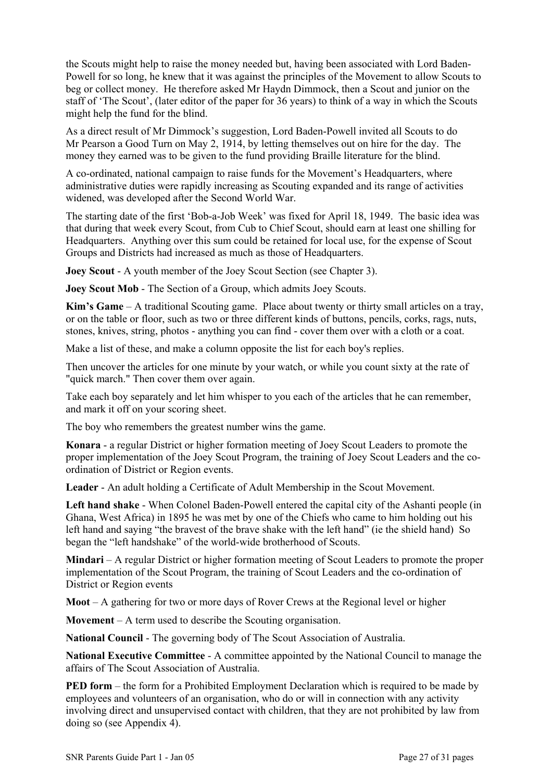the Scouts might help to raise the money needed but, having been associated with Lord Baden-Powell for so long, he knew that it was against the principles of the Movement to allow Scouts to beg or collect money. He therefore asked Mr Haydn Dimmock, then a Scout and junior on the staff of 'The Scout', (later editor of the paper for 36 years) to think of a way in which the Scouts might help the fund for the blind.

As a direct result of Mr Dimmock's suggestion, Lord Baden-Powell invited all Scouts to do Mr Pearson a Good Turn on May 2, 1914, by letting themselves out on hire for the day. The money they earned was to be given to the fund providing Braille literature for the blind.

A co-ordinated, national campaign to raise funds for the Movement's Headquarters, where administrative duties were rapidly increasing as Scouting expanded and its range of activities widened, was developed after the Second World War.

The starting date of the first 'Bob-a-Job Week' was fixed for April 18, 1949. The basic idea was that during that week every Scout, from Cub to Chief Scout, should earn at least one shilling for Headquarters. Anything over this sum could be retained for local use, for the expense of Scout Groups and Districts had increased as much as those of Headquarters.

**Joey Scout - A youth member of the Joey Scout Section (see Chapter 3).** 

**Joey Scout Mob** - The Section of a Group, which admits Joey Scouts.

**Kim's Game** – A traditional Scouting game. Place about twenty or thirty small articles on a tray, or on the table or floor, such as two or three different kinds of buttons, pencils, corks, rags, nuts, stones, knives, string, photos - anything you can find - cover them over with a cloth or a coat.

Make a list of these, and make a column opposite the list for each boy's replies.

Then uncover the articles for one minute by your watch, or while you count sixty at the rate of "quick march." Then cover them over again.

Take each boy separately and let him whisper to you each of the articles that he can remember, and mark it off on your scoring sheet.

The boy who remembers the greatest number wins the game.

**Konara** - a regular District or higher formation meeting of Joey Scout Leaders to promote the proper implementation of the Joey Scout Program, the training of Joey Scout Leaders and the coordination of District or Region events.

**Leader** - An adult holding a Certificate of Adult Membership in the Scout Movement.

**Left hand shake** - When Colonel Baden-Powell entered the capital city of the Ashanti people (in Ghana, West Africa) in 1895 he was met by one of the Chiefs who came to him holding out his left hand and saying "the bravest of the brave shake with the left hand" (ie the shield hand) So began the "left handshake" of the world-wide brotherhood of Scouts.

**Mindari** – A regular District or higher formation meeting of Scout Leaders to promote the proper implementation of the Scout Program, the training of Scout Leaders and the co-ordination of District or Region events

**Moot** – A gathering for two or more days of Rover Crews at the Regional level or higher

**Movement** – A term used to describe the Scouting organisation.

**National Council** - The governing body of The Scout Association of Australia.

**National Executive Committee** - A committee appointed by the National Council to manage the affairs of The Scout Association of Australia.

**PED form** – the form for a Prohibited Employment Declaration which is required to be made by employees and volunteers of an organisation, who do or will in connection with any activity involving direct and unsupervised contact with children, that they are not prohibited by law from doing so (see Appendix 4).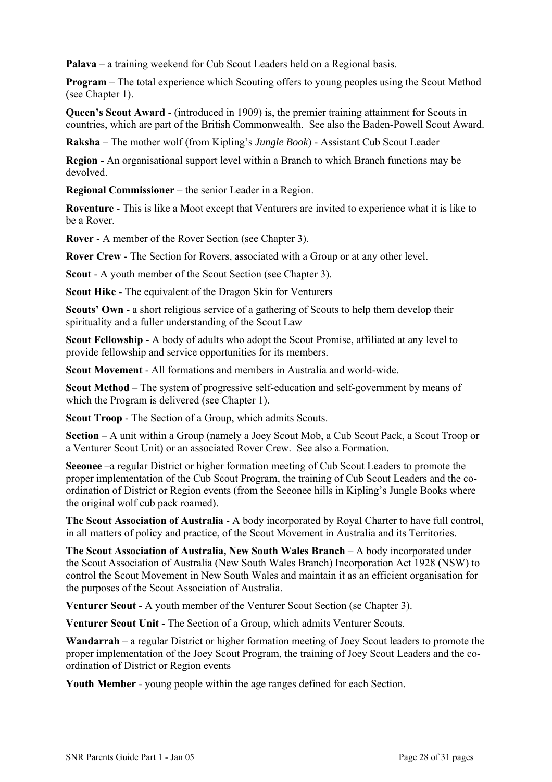**Palava –** a training weekend for Cub Scout Leaders held on a Regional basis.

**Program** – The total experience which Scouting offers to young peoples using the Scout Method (see Chapter 1).

**Queen's Scout Award** - (introduced in 1909) is, the premier training attainment for Scouts in countries, which are part of the British Commonwealth. See also the Baden-Powell Scout Award.

**Raksha** – The mother wolf (from Kipling's *Jungle Book*) - Assistant Cub Scout Leader

**Region** - An organisational support level within a Branch to which Branch functions may be devolved.

**Regional Commissioner** – the senior Leader in a Region.

**Roventure** - This is like a Moot except that Venturers are invited to experience what it is like to be a Rover.

**Rover** - A member of the Rover Section (see Chapter 3).

**Rover Crew** - The Section for Rovers, associated with a Group or at any other level.

**Scout** - A youth member of the Scout Section (see Chapter 3).

**Scout Hike** - The equivalent of the Dragon Skin for Venturers

**Scouts' Own** - a short religious service of a gathering of Scouts to help them develop their spirituality and a fuller understanding of the Scout Law

**Scout Fellowship** - A body of adults who adopt the Scout Promise, affiliated at any level to provide fellowship and service opportunities for its members.

**Scout Movement** - All formations and members in Australia and world-wide.

**Scout Method** – The system of progressive self-education and self-government by means of which the Program is delivered (see Chapter 1).

**Scout Troop** - The Section of a Group, which admits Scouts.

**Section** – A unit within a Group (namely a Joey Scout Mob, a Cub Scout Pack, a Scout Troop or a Venturer Scout Unit) or an associated Rover Crew. See also a Formation.

**Seeonee** –a regular District or higher formation meeting of Cub Scout Leaders to promote the proper implementation of the Cub Scout Program, the training of Cub Scout Leaders and the coordination of District or Region events (from the Seeonee hills in Kipling's Jungle Books where the original wolf cub pack roamed).

**The Scout Association of Australia** - A body incorporated by Royal Charter to have full control, in all matters of policy and practice, of the Scout Movement in Australia and its Territories.

**The Scout Association of Australia, New South Wales Branch** – A body incorporated under the Scout Association of Australia (New South Wales Branch) Incorporation Act 1928 (NSW) to control the Scout Movement in New South Wales and maintain it as an efficient organisation for the purposes of the Scout Association of Australia.

**Venturer Scout** - A youth member of the Venturer Scout Section (se Chapter 3).

**Venturer Scout Unit** - The Section of a Group, which admits Venturer Scouts.

**Wandarrah** – a regular District or higher formation meeting of Joey Scout leaders to promote the proper implementation of the Joey Scout Program, the training of Joey Scout Leaders and the coordination of District or Region events

**Youth Member** - young people within the age ranges defined for each Section.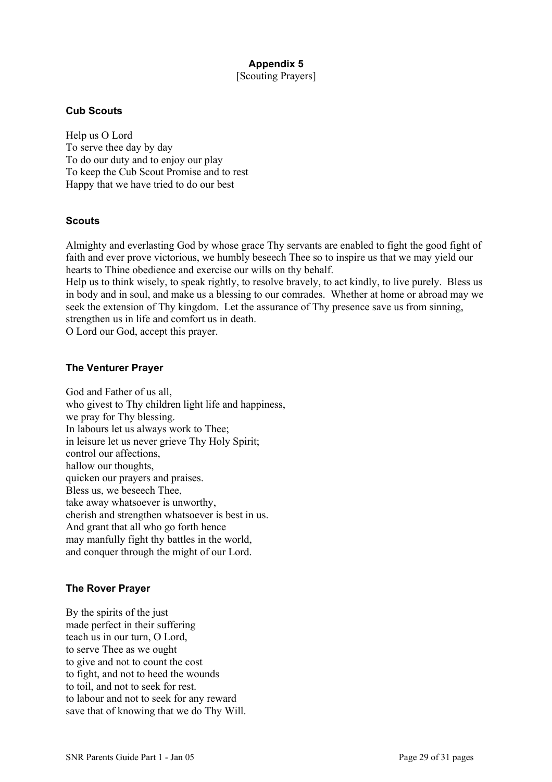### **Appendix 5**  [Scouting Prayers]

#### **Cub Scouts**

Help us O Lord To serve thee day by day To do our duty and to enjoy our play To keep the Cub Scout Promise and to rest Happy that we have tried to do our best

### **Scouts**

Almighty and everlasting God by whose grace Thy servants are enabled to fight the good fight of faith and ever prove victorious, we humbly beseech Thee so to inspire us that we may yield our hearts to Thine obedience and exercise our wills on thy behalf.

Help us to think wisely, to speak rightly, to resolve bravely, to act kindly, to live purely. Bless us in body and in soul, and make us a blessing to our comrades. Whether at home or abroad may we seek the extension of Thy kingdom. Let the assurance of Thy presence save us from sinning, strengthen us in life and comfort us in death.

O Lord our God, accept this prayer.

### **The Venturer Prayer**

God and Father of us all, who givest to Thy children light life and happiness, we pray for Thy blessing. In labours let us always work to Thee; in leisure let us never grieve Thy Holy Spirit; control our affections, hallow our thoughts, quicken our prayers and praises. Bless us, we beseech Thee, take away whatsoever is unworthy, cherish and strengthen whatsoever is best in us. And grant that all who go forth hence may manfully fight thy battles in the world, and conquer through the might of our Lord.

### **The Rover Prayer**

By the spirits of the just made perfect in their suffering teach us in our turn, O Lord, to serve Thee as we ought to give and not to count the cost to fight, and not to heed the wounds to toil, and not to seek for rest. to labour and not to seek for any reward save that of knowing that we do Thy Will.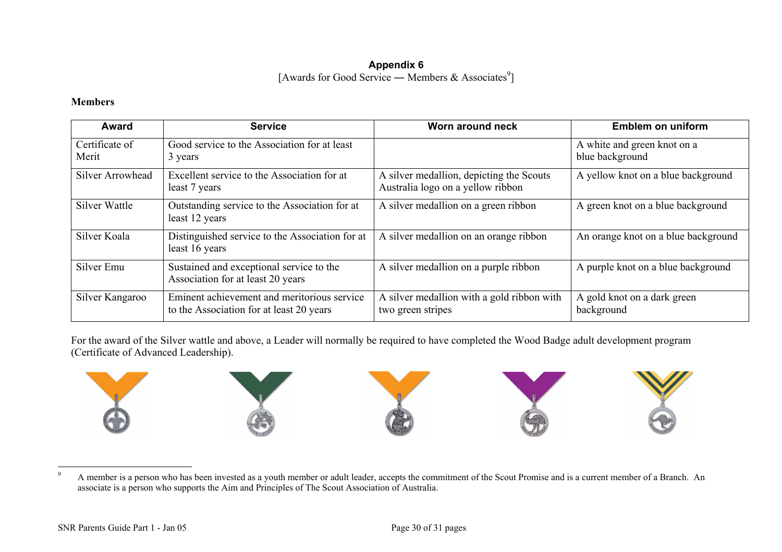### **Appendix 6**  [Awards for Good Service — Members & Associates<sup>9</sup>]

### **Members**

| Award                   | <b>Service</b>                                                                          | Worn around neck                                                              | <b>Emblem on uniform</b>                       |
|-------------------------|-----------------------------------------------------------------------------------------|-------------------------------------------------------------------------------|------------------------------------------------|
| Certificate of<br>Merit | Good service to the Association for at least<br>3 years                                 |                                                                               | A white and green knot on a<br>blue background |
| Silver Arrowhead        | Excellent service to the Association for at<br>least 7 years                            | A silver medallion, depicting the Scouts<br>Australia logo on a yellow ribbon | A yellow knot on a blue background             |
| Silver Wattle           | Outstanding service to the Association for at<br>least 12 years                         | A silver medallion on a green ribbon                                          | A green knot on a blue background              |
| Silver Koala            | Distinguished service to the Association for at<br>least 16 years                       | A silver medallion on an orange ribbon                                        | An orange knot on a blue background            |
| Silver Emu              | Sustained and exceptional service to the<br>Association for at least 20 years           | A silver medallion on a purple ribbon                                         | A purple knot on a blue background             |
| Silver Kangaroo         | Eminent achievement and meritorious service<br>to the Association for at least 20 years | A silver medallion with a gold ribbon with<br>two green stripes               | A gold knot on a dark green<br>background      |

For the award of the Silver wattle and above, a Leader will normally be required to have completed the Wood Badge adult development program (Certificate of Advanced Leadership).



<span id="page-29-0"></span><sup>9</sup> A member is a person who has been invested as a youth member or adult leader, accepts the commitment of the Scout Promise and is a current member of a Branch. An associate is a person who supports the Aim and Principles of The Scout Association of Australia.